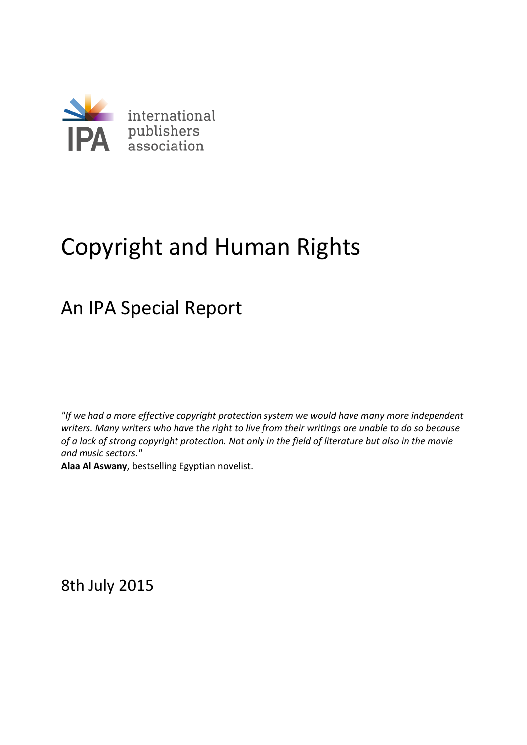

# Copyright and Human Rights

## An IPA Special Report

*"If we had a more effective copyright protection system we would have many more independent writers. Many writers who have the right to live from their writings are unable to do so because of a lack of strong copyright protection. Not only in the field of literature but also in the movie and music sectors."* 

**Alaa Al Aswany**, bestselling Egyptian novelist.

8th July 2015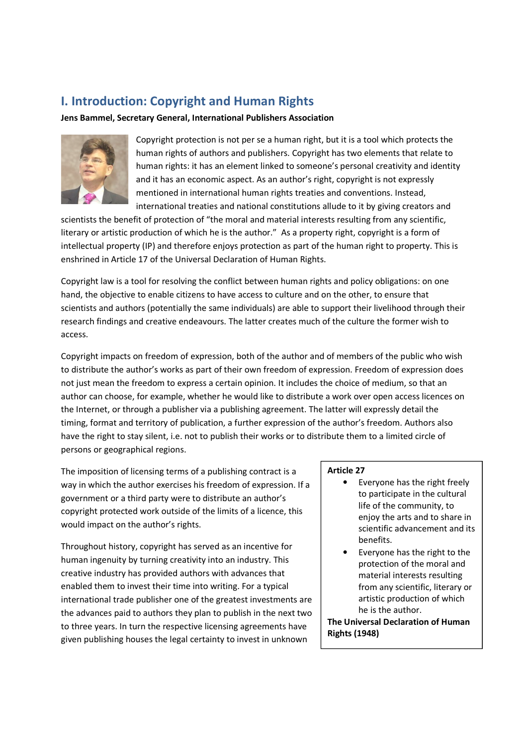## **I. Introduction: Copyright and Human Rights**

**Jens Bammel, Secretary General, International Publishers Association** 



Copyright protection is not per se a human right, but it is a tool which protects the human rights of authors and publishers. Copyright has two elements that relate to human rights: it has an element linked to someone's personal creativity and identity and it has an economic aspect. As an author's right, copyright is not expressly mentioned in international human rights treaties and conventions. Instead, international treaties and national constitutions allude to it by giving creators and

scientists the benefit of protection of "the moral and material interests resulting from any scientific, literary or artistic production of which he is the author." As a property right, copyright is a form of intellectual property (IP) and therefore enjoys protection as part of the human right to property. This is enshrined in Article 17 of the Universal Declaration of Human Rights.

Copyright law is a tool for resolving the conflict between human rights and policy obligations: on one hand, the objective to enable citizens to have access to culture and on the other, to ensure that scientists and authors (potentially the same individuals) are able to support their livelihood through their research findings and creative endeavours. The latter creates much of the culture the former wish to access.

Copyright impacts on freedom of expression, both of the author and of members of the public who wish to distribute the author's works as part of their own freedom of expression. Freedom of expression does not just mean the freedom to express a certain opinion. It includes the choice of medium, so that an author can choose, for example, whether he would like to distribute a work over open access licences on the Internet, or through a publisher via a publishing agreement. The latter will expressly detail the timing, format and territory of publication, a further expression of the author's freedom. Authors also have the right to stay silent, i.e. not to publish their works or to distribute them to a limited circle of persons or geographical regions.

The imposition of licensing terms of a publishing contract is a way in which the author exercises his freedom of expression. If a government or a third party were to distribute an author's copyright protected work outside of the limits of a licence, this would impact on the author's rights.

Throughout history, copyright has served as an incentive for human ingenuity by turning creativity into an industry. This creative industry has provided authors with advances that enabled them to invest their time into writing. For a typical international trade publisher one of the greatest investments are the advances paid to authors they plan to publish in the next two to three years. In turn the respective licensing agreements have given publishing houses the legal certainty to invest in unknown

#### **Article 27**

- Everyone has the right freely to participate in the cultural life of the community, to enjoy the arts and to share in scientific advancement and its benefits.
- Everyone has the right to the protection of the moral and material interests resulting from any scientific, literary or artistic production of which he is the author.

**The Universal Declaration of Human Rights (1948)**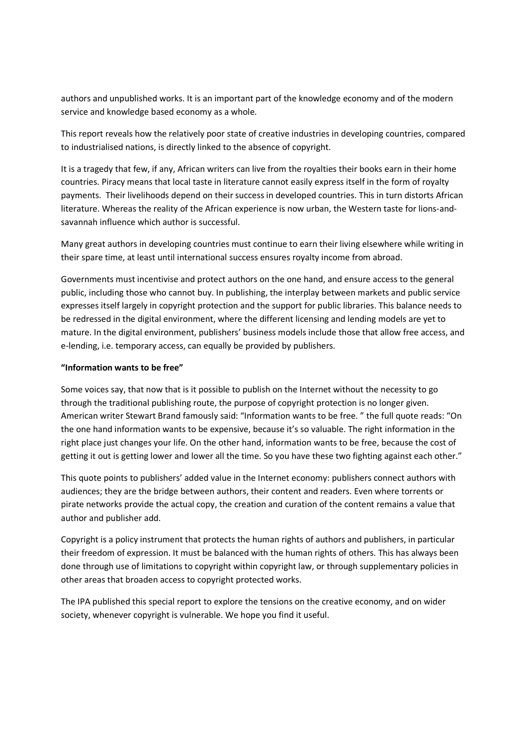authors and unpublished works. It is an important part of the knowledge economy and of the modern service and knowledge based economy as a whole.

This report reveals how the relatively poor state of creative industries in developing countries, compared to industrialised nations, is directly linked to the absence of copyright.

It is a tragedy that few, if any, African writers can live from the royalties their books earn in their home countries. Piracy means that local taste in literature cannot easily express itself in the form of royalty payments. Their livelihoods depend on their success in developed countries. This in turn distorts African literature. Whereas the reality of the African experience is now urban, the Western taste for lions-andsavannah influence which author is successful.

Many great authors in developing countries must continue to earn their living elsewhere while writing in their spare time, at least until international success ensures royalty income from abroad.

Governments must incentivise and protect authors on the one hand, and ensure access to the general public, including those who cannot buy. In publishing, the interplay between markets and public service expresses itself largely in copyright protection and the support for public libraries. This balance needs to be redressed in the digital environment, where the different licensing and lending models are yet to mature. In the digital environment, publishers' business models include those that allow free access, and e-lending, i.e. temporary access, can equally be provided by publishers.

#### **"Information wants to be free"**

Some voices say, that now that is it possible to publish on the Internet without the necessity to go through the traditional publishing route, the purpose of copyright protection is no longer given. American writer Stewart Brand famously said: "Information wants to be free. " the full quote reads: "On the one hand information wants to be expensive, because it's so valuable. The right information in the right place just changes your life. On the other hand, information wants to be free, because the cost of getting it out is getting lower and lower all the time. So you have these two fighting against each other."

This quote points to publishers' added value in the Internet economy: publishers connect authors with audiences; they are the bridge between authors, their content and readers. Even where torrents or pirate networks provide the actual copy, the creation and curation of the content remains a value that author and publisher add.

Copyright is a policy instrument that protects the human rights of authors and publishers, in particular their freedom of expression. It must be balanced with the human rights of others. This has always been done through use of limitations to copyright within copyright law, or through supplementary policies in other areas that broaden access to copyright protected works.

The IPA published this special report to explore the tensions on the creative economy, and on wider society, whenever copyright is vulnerable. We hope you find it useful.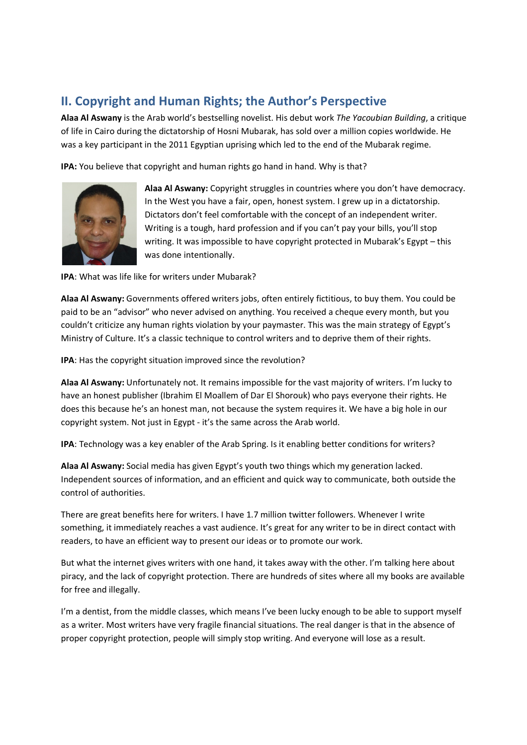## **II. Copyright and Human Rights; the Author's Perspective**

**Alaa Al Aswany** is the Arab world's bestselling novelist. His debut work *The Yacoubian Building*, a critique of life in Cairo during the dictatorship of Hosni Mubarak, has sold over a million copies worldwide. He was a key participant in the 2011 Egyptian uprising which led to the end of the Mubarak regime.

**IPA:** You believe that copyright and human rights go hand in hand. Why is that?



**Alaa Al Aswany:** Copyright struggles in countries where you don't have democracy. In the West you have a fair, open, honest system. I grew up in a dictatorship. Dictators don't feel comfortable with the concept of an independent writer. Writing is a tough, hard profession and if you can't pay your bills, you'll stop writing. It was impossible to have copyright protected in Mubarak's Egypt – this was done intentionally.

**IPA**: What was life like for writers under Mubarak?

**Alaa Al Aswany:** Governments offered writers jobs, often entirely fictitious, to buy them. You could be paid to be an "advisor" who never advised on anything. You received a cheque every month, but you couldn't criticize any human rights violation by your paymaster. This was the main strategy of Egypt's Ministry of Culture. It's a classic technique to control writers and to deprive them of their rights.

**IPA**: Has the copyright situation improved since the revolution?

**Alaa Al Aswany:** Unfortunately not. It remains impossible for the vast majority of writers. I'm lucky to have an honest publisher (Ibrahim El Moallem of Dar El Shorouk) who pays everyone their rights. He does this because he's an honest man, not because the system requires it. We have a big hole in our copyright system. Not just in Egypt - it's the same across the Arab world.

**IPA**: Technology was a key enabler of the Arab Spring. Is it enabling better conditions for writers?

**Alaa Al Aswany:** Social media has given Egypt's youth two things which my generation lacked. Independent sources of information, and an efficient and quick way to communicate, both outside the control of authorities.

There are great benefits here for writers. I have 1.7 million twitter followers. Whenever I write something, it immediately reaches a vast audience. It's great for any writer to be in direct contact with readers, to have an efficient way to present our ideas or to promote our work.

But what the internet gives writers with one hand, it takes away with the other. I'm talking here about piracy, and the lack of copyright protection. There are hundreds of sites where all my books are available for free and illegally.

I'm a dentist, from the middle classes, which means I've been lucky enough to be able to support myself as a writer. Most writers have very fragile financial situations. The real danger is that in the absence of proper copyright protection, people will simply stop writing. And everyone will lose as a result.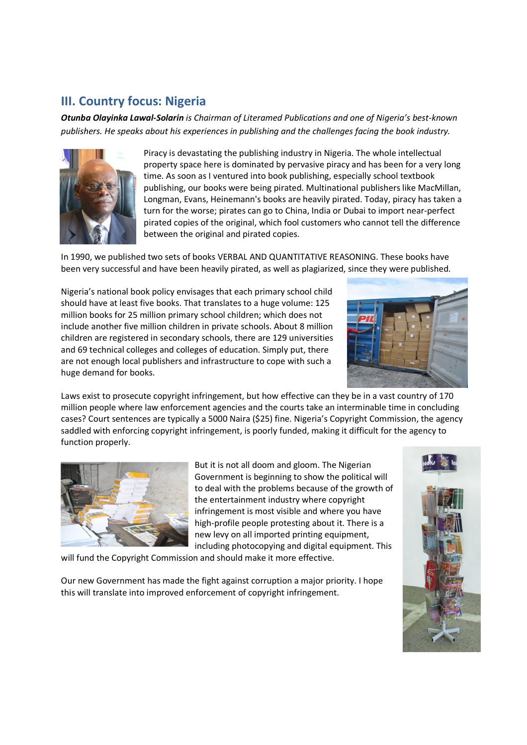## **III. Country focus: Nigeria**

*Otunba Olayinka Lawal-Solarin is Chairman of Literamed Publications and one of Nigeria's best-known publishers. He speaks about his experiences in publishing and the challenges facing the book industry.*



Piracy is devastating the publishing industry in Nigeria. The whole intellectual property space here is dominated by pervasive piracy and has been for a very long time. As soon as I ventured into book publishing, especially school textbook publishing, our books were being pirated. Multinational publishers like MacMillan, Longman, Evans, Heinemann's books are heavily pirated. Today, piracy has taken a turn for the worse; pirates can go to China, India or Dubai to import near-perfect pirated copies of the original, which fool customers who cannot tell the difference between the original and pirated copies.

In 1990, we published two sets of books VERBAL AND QUANTITATIVE REASONING. These books have been very successful and have been heavily pirated, as well as plagiarized, since they were published.

Nigeria's national book policy envisages that each primary school child should have at least five books. That translates to a huge volume: 125 million books for 25 million primary school children; which does not include another five million children in private schools. About 8 million children are registered in secondary schools, there are 129 universities and 69 technical colleges and colleges of education. Simply put, there are not enough local publishers and infrastructure to cope with such a huge demand for books.



Laws exist to prosecute copyright infringement, but how effective can they be in a vast country of 170 million people where law enforcement agencies and the courts take an interminable time in concluding cases? Court sentences are typically a 5000 Naira (\$25) fine. Nigeria's Copyright Commission, the agency saddled with enforcing copyright infringement, is poorly funded, making it difficult for the agency to function properly.



But it is not all doom and gloom. The Nigerian Government is beginning to show the political will to deal with the problems because of the growth of the entertainment industry where copyright infringement is most visible and where you have high-profile people protesting about it. There is a new levy on all imported printing equipment, including photocopying and digital equipment. This

will fund the Copyright Commission and should make it more effective.

Our new Government has made the fight against corruption a major priority. I hope this will translate into improved enforcement of copyright infringement.

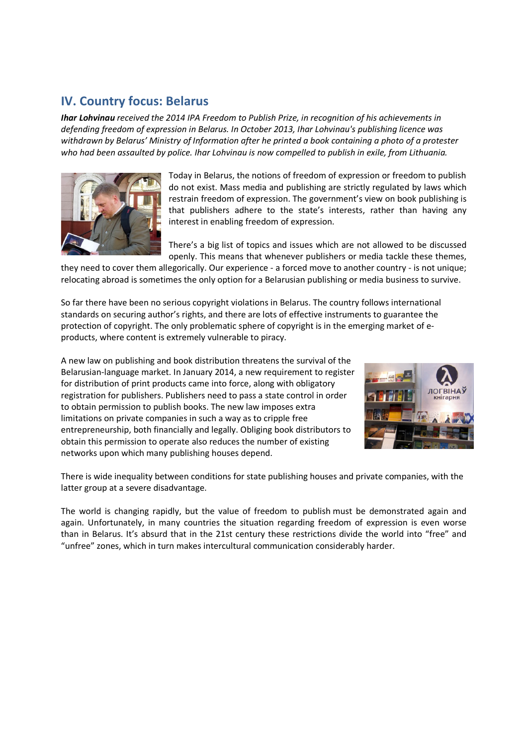## **IV. Country focus: Belarus**

*Ihar Lohvinau received the 2014 IPA Freedom to Publish Prize, in recognition of his achievements in defending freedom of expression in Belarus. In October 2013, Ihar Lohvinau's publishing licence was withdrawn by Belarus' Ministry of Information after he printed a book containing a photo of a protester who had been assaulted by police. Ihar Lohvinau is now compelled to publish in exile, from Lithuania.*



Today in Belarus, the notions of freedom of expression or freedom to publish do not exist. Mass media and publishing are strictly regulated by laws which restrain freedom of expression. The government's view on book publishing is that publishers adhere to the state's interests, rather than having any interest in enabling freedom of expression.

There's a big list of topics and issues which are not allowed to be discussed openly. This means that whenever publishers or media tackle these themes,

they need to cover them allegorically. Our experience - a forced move to another country - is not unique; relocating abroad is sometimes the only option for a Belarusian publishing or media business to survive.

So far there have been no serious copyright violations in Belarus. The country follows international standards on securing author's rights, and there are lots of effective instruments to guarantee the protection of copyright. The only problematic sphere of copyright is in the emerging market of eproducts, where content is extremely vulnerable to piracy.

A new law on publishing and book distribution threatens the survival of the Belarusian-language market. In January 2014, a new requirement to register for distribution of print products came into force, along with obligatory registration for publishers. Publishers need to pass a state control in order to obtain permission to publish books. The new law imposes extra limitations on private companies in such a way as to cripple free entrepreneurship, both financially and legally. Obliging book distributors to obtain this permission to operate also reduces the number of existing networks upon which many publishing houses depend.



There is wide inequality between conditions for state publishing houses and private companies, with the latter group at a severe disadvantage.

The world is changing rapidly, but the value of freedom to publish must be demonstrated again and again. Unfortunately, in many countries the situation regarding freedom of expression is even worse than in Belarus. It's absurd that in the 21st century these restrictions divide the world into "free" and "unfree" zones, which in turn makes intercultural communication considerably harder.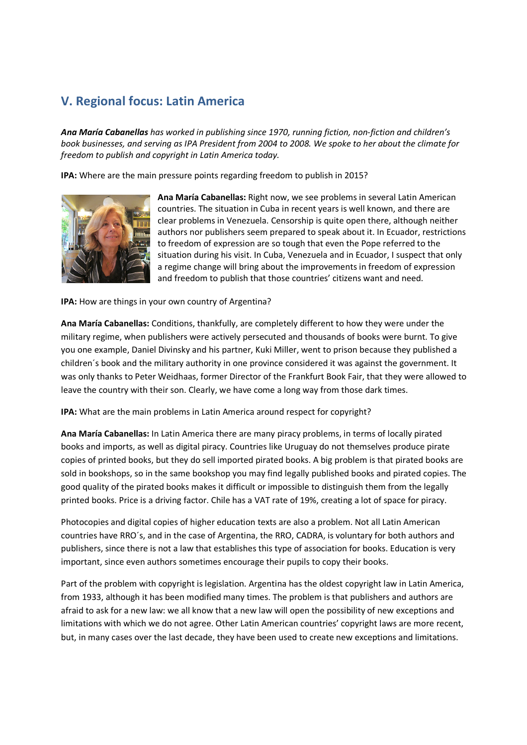## **V. Regional focus: Latin America**

*Ana María Cabanellas has worked in publishing since 1970, running fiction, non-fiction and children's book businesses, and serving as IPA President from 2004 to 2008. We spoke to her about the climate for freedom to publish and copyright in Latin America today.* 

**IPA:** Where are the main pressure points regarding freedom to publish in 2015?



**Ana María Cabanellas:** Right now, we see problems in several Latin American countries. The situation in Cuba in recent years is well known, and there are clear problems in Venezuela. Censorship is quite open there, although neither authors nor publishers seem prepared to speak about it. In Ecuador, restrictions to freedom of expression are so tough that even the Pope referred to the situation during his visit. In Cuba, Venezuela and in Ecuador, I suspect that only a regime change will bring about the improvements in freedom of expression and freedom to publish that those countries' citizens want and need.

**IPA:** How are things in your own country of Argentina?

**Ana María Cabanellas:** Conditions, thankfully, are completely different to how they were under the military regime, when publishers were actively persecuted and thousands of books were burnt. To give you one example, Daniel Divinsky and his partner, Kuki Miller, went to prison because they published a children´s book and the military authority in one province considered it was against the government. It was only thanks to Peter Weidhaas, former Director of the Frankfurt Book Fair, that they were allowed to leave the country with their son. Clearly, we have come a long way from those dark times.

**IPA:** What are the main problems in Latin America around respect for copyright?

**Ana María Cabanellas:** In Latin America there are many piracy problems, in terms of locally pirated books and imports, as well as digital piracy. Countries like Uruguay do not themselves produce pirate copies of printed books, but they do sell imported pirated books. A big problem is that pirated books are sold in bookshops, so in the same bookshop you may find legally published books and pirated copies. The good quality of the pirated books makes it difficult or impossible to distinguish them from the legally printed books. Price is a driving factor. Chile has a VAT rate of 19%, creating a lot of space for piracy.

Photocopies and digital copies of higher education texts are also a problem. Not all Latin American countries have RRO´s, and in the case of Argentina, the RRO, CADRA, is voluntary for both authors and publishers, since there is not a law that establishes this type of association for books. Education is very important, since even authors sometimes encourage their pupils to copy their books.

Part of the problem with copyright is legislation. Argentina has the oldest copyright law in Latin America, from 1933, although it has been modified many times. The problem is that publishers and authors are afraid to ask for a new law: we all know that a new law will open the possibility of new exceptions and limitations with which we do not agree. Other Latin American countries' copyright laws are more recent, but, in many cases over the last decade, they have been used to create new exceptions and limitations.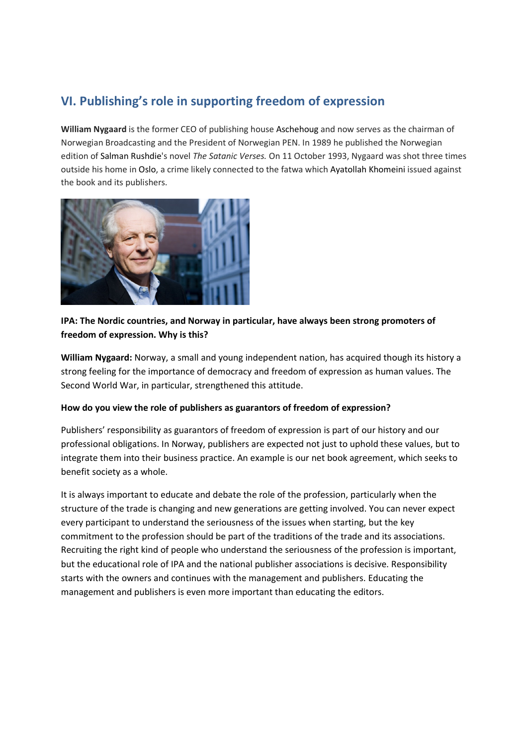## **VI. Publishing's role in supporting freedom of expression**

**William Nygaard** is the former CEO of publishing house Aschehoug and now serves as the chairman of Norwegian Broadcasting and the President of Norwegian PEN. In 1989 he published the Norwegian edition of Salman Rushdie's novel *The Satanic Verses.* On 11 October 1993, Nygaard was shot three times outside his home in Oslo, a crime likely connected to the fatwa which Ayatollah Khomeini issued against the book and its publishers.



#### **IPA: The Nordic countries, and Norway in particular, have always been strong promoters of freedom of expression. Why is this?**

**William Nygaard:** Norway, a small and young independent nation, has acquired though its history a strong feeling for the importance of democracy and freedom of expression as human values. The Second World War, in particular, strengthened this attitude.

#### **How do you view the role of publishers as guarantors of freedom of expression?**

Publishers' responsibility as guarantors of freedom of expression is part of our history and our professional obligations. In Norway, publishers are expected not just to uphold these values, but to integrate them into their business practice. An example is our net book agreement, which seeks to benefit society as a whole.

It is always important to educate and debate the role of the profession, particularly when the structure of the trade is changing and new generations are getting involved. You can never expect every participant to understand the seriousness of the issues when starting, but the key commitment to the profession should be part of the traditions of the trade and its associations. Recruiting the right kind of people who understand the seriousness of the profession is important, but the educational role of IPA and the national publisher associations is decisive. Responsibility starts with the owners and continues with the management and publishers. Educating the management and publishers is even more important than educating the editors.